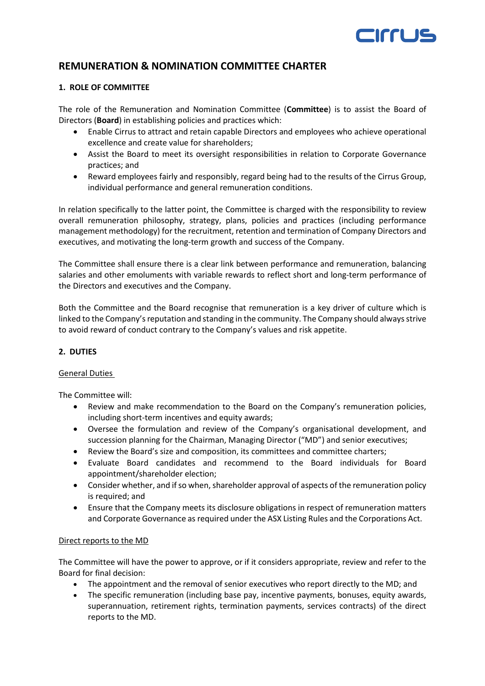# EIrrus

# **REMUNERATION & NOMINATION COMMITTEE CHARTER**

### **1. ROLE OF COMMITTEE**

The role of the Remuneration and Nomination Committee (**Committee**) is to assist the Board of Directors (**Board**) in establishing policies and practices which:

- Enable Cirrus to attract and retain capable Directors and employees who achieve operational excellence and create value for shareholders;
- Assist the Board to meet its oversight responsibilities in relation to Corporate Governance practices; and
- Reward employees fairly and responsibly, regard being had to the results of the Cirrus Group, individual performance and general remuneration conditions.

In relation specifically to the latter point, the Committee is charged with the responsibility to review overall remuneration philosophy, strategy, plans, policies and practices (including performance management methodology) for the recruitment, retention and termination of Company Directors and executives, and motivating the long-term growth and success of the Company.

The Committee shall ensure there is a clear link between performance and remuneration, balancing salaries and other emoluments with variable rewards to reflect short and long-term performance of the Directors and executives and the Company.

Both the Committee and the Board recognise that remuneration is a key driver of culture which is linked to the Company's reputation and standing in the community. The Company should always strive to avoid reward of conduct contrary to the Company's values and risk appetite.

# **2. DUTIES**

# General Duties

The Committee will:

- Review and make recommendation to the Board on the Company's remuneration policies, including short-term incentives and equity awards;
- Oversee the formulation and review of the Company's organisational development, and succession planning for the Chairman, Managing Director ("MD") and senior executives;
- Review the Board's size and composition, its committees and committee charters;
- Evaluate Board candidates and recommend to the Board individuals for Board appointment/shareholder election;
- Consider whether, and if so when, shareholder approval of aspects of the remuneration policy is required; and
- Ensure that the Company meets its disclosure obligations in respect of remuneration matters and Corporate Governance as required under the ASX Listing Rules and the Corporations Act.

#### Direct reports to the MD

The Committee will have the power to approve, or if it considers appropriate, review and refer to the Board for final decision:

- The appointment and the removal of senior executives who report directly to the MD; and
- The specific remuneration (including base pay, incentive payments, bonuses, equity awards, superannuation, retirement rights, termination payments, services contracts) of the direct reports to the MD.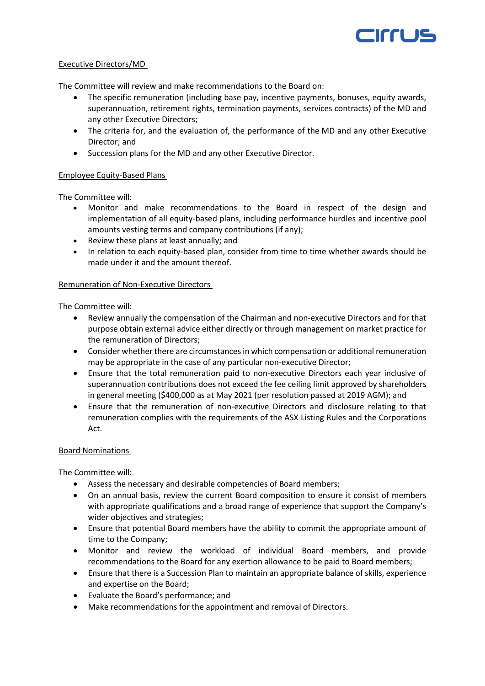

#### Executive Directors/MD

The Committee will review and make recommendations to the Board on:

- The specific remuneration (including base pay, incentive payments, bonuses, equity awards, superannuation, retirement rights, termination payments, services contracts) of the MD and any other Executive Directors;
- The criteria for, and the evaluation of, the performance of the MD and any other Executive Director; and
- Succession plans for the MD and any other Executive Director.

# Employee Equity-Based Plans

The Committee will:

- Monitor and make recommendations to the Board in respect of the design and implementation of all equity-based plans, including performance hurdles and incentive pool amounts vesting terms and company contributions (if any);
- Review these plans at least annually; and
- In relation to each equity-based plan, consider from time to time whether awards should be made under it and the amount thereof.

#### Remuneration of Non-Executive Directors

The Committee will:

- Review annually the compensation of the Chairman and non-executive Directors and for that purpose obtain external advice either directly or through management on market practice for the remuneration of Directors;
- Consider whether there are circumstances in which compensation or additional remuneration may be appropriate in the case of any particular non-executive Director;
- Ensure that the total remuneration paid to non-executive Directors each year inclusive of superannuation contributions does not exceed the fee ceiling limit approved by shareholders in general meeting (\$400,000 as at May 2021 (per resolution passed at 2019 AGM); and
- Ensure that the remuneration of non-executive Directors and disclosure relating to that remuneration complies with the requirements of the ASX Listing Rules and the Corporations Act.

#### Board Nominations

The Committee will:

- Assess the necessary and desirable competencies of Board members;
- On an annual basis, review the current Board composition to ensure it consist of members with appropriate qualifications and a broad range of experience that support the Company's wider objectives and strategies;
- Ensure that potential Board members have the ability to commit the appropriate amount of time to the Company;
- Monitor and review the workload of individual Board members, and provide recommendations to the Board for any exertion allowance to be paid to Board members;
- Ensure that there is a Succession Plan to maintain an appropriate balance of skills, experience and expertise on the Board;
- Evaluate the Board's performance; and
- Make recommendations for the appointment and removal of Directors.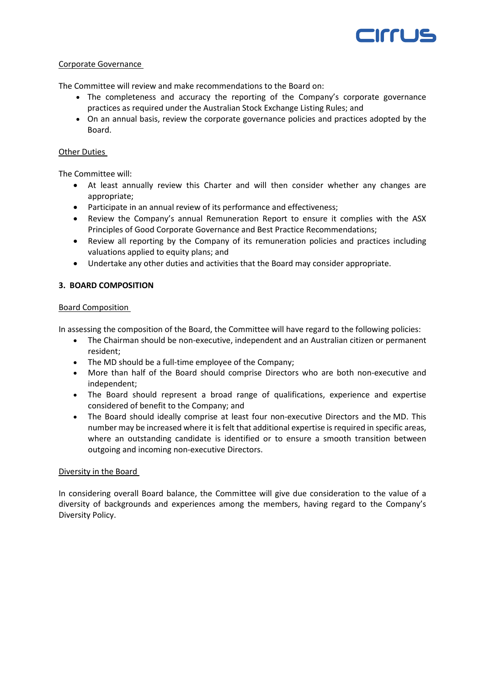

#### Corporate Governance

The Committee will review and make recommendations to the Board on:

- The completeness and accuracy the reporting of the Company's corporate governance practices as required under the Australian Stock Exchange Listing Rules; and
- On an annual basis, review the corporate governance policies and practices adopted by the Board.

### Other Duties

The Committee will:

- At least annually review this Charter and will then consider whether any changes are appropriate;
- Participate in an annual review of its performance and effectiveness;
- Review the Company's annual Remuneration Report to ensure it complies with the ASX Principles of Good Corporate Governance and Best Practice Recommendations;
- Review all reporting by the Company of its remuneration policies and practices including valuations applied to equity plans; and
- Undertake any other duties and activities that the Board may consider appropriate.

# **3. BOARD COMPOSITION**

#### Board Composition

In assessing the composition of the Board, the Committee will have regard to the following policies:

- The Chairman should be non-executive, independent and an Australian citizen or permanent resident;
- The MD should be a full-time employee of the Company;
- More than half of the Board should comprise Directors who are both non-executive and independent;
- The Board should represent a broad range of qualifications, experience and expertise considered of benefit to the Company; and
- The Board should ideally comprise at least four non-executive Directors and the MD. This number may be increased where it is felt that additional expertise is required in specific areas, where an outstanding candidate is identified or to ensure a smooth transition between outgoing and incoming non-executive Directors.

#### Diversity in the Board

In considering overall Board balance, the Committee will give due consideration to the value of a diversity of backgrounds and experiences among the members, having regard to the Company's Diversity Policy.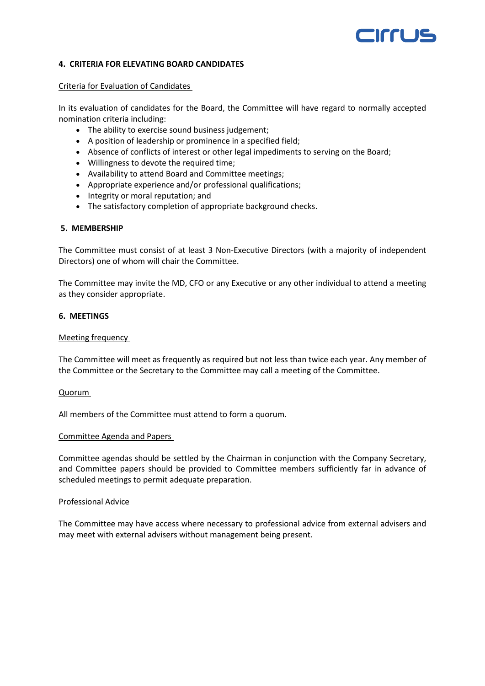# errus

#### **4. CRITERIA FOR ELEVATING BOARD CANDIDATES**

#### Criteria for Evaluation of Candidates

In its evaluation of candidates for the Board, the Committee will have regard to normally accepted nomination criteria including:

- The ability to exercise sound business judgement;
- A position of leadership or prominence in a specified field;
- Absence of conflicts of interest or other legal impediments to serving on the Board;
- Willingness to devote the required time;
- Availability to attend Board and Committee meetings;
- Appropriate experience and/or professional qualifications;
- Integrity or moral reputation; and
- The satisfactory completion of appropriate background checks.

#### **5. MEMBERSHIP**

The Committee must consist of at least 3 Non-Executive Directors (with a majority of independent Directors) one of whom will chair the Committee.

The Committee may invite the MD, CFO or any Executive or any other individual to attend a meeting as they consider appropriate.

#### **6. MEETINGS**

#### Meeting frequency

The Committee will meet as frequently as required but not less than twice each year. Any member of the Committee or the Secretary to the Committee may call a meeting of the Committee.

#### Quorum

All members of the Committee must attend to form a quorum.

#### Committee Agenda and Papers

Committee agendas should be settled by the Chairman in conjunction with the Company Secretary, and Committee papers should be provided to Committee members sufficiently far in advance of scheduled meetings to permit adequate preparation.

#### Professional Advice

The Committee may have access where necessary to professional advice from external advisers and may meet with external advisers without management being present.